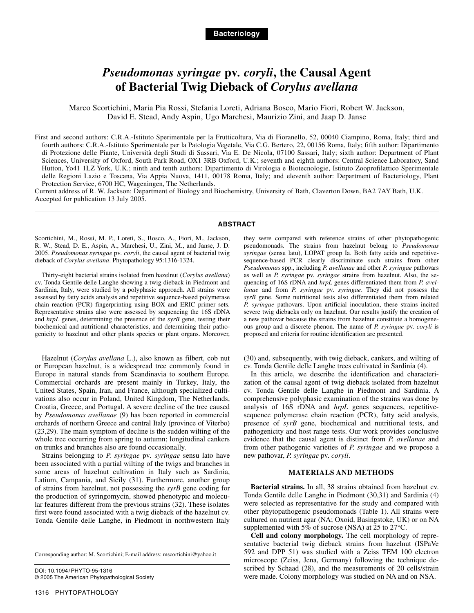# *Pseudomonas syringae* **pv***. coryli***, the Causal Agent of Bacterial Twig Dieback of** *Corylus avellana*

Marco Scortichini, Maria Pia Rossi, Stefania Loreti, Adriana Bosco, Mario Fiori, Robert W. Jackson, David E. Stead, Andy Aspin, Ugo Marchesi, Maurizio Zini, and Jaap D. Janse

First and second authors: C.R.A.-Istituto Sperimentale per la Frutticoltura, Via di Fioranello, 52, 00040 Ciampino, Roma, Italy; third and fourth authors: C.R.A.-Istituto Sperimentale per la Patologia Vegetale, Via C.G. Bertero, 22, 00156 Roma, Italy; fifth author: Dipartimento di Protezione delle Piante, Università degli Studi di Sassari, Via E. De Nicola, 07100 Sassari, Italy; sixth author: Department of Plant Sciences, University of Oxford, South Park Road, OX1 3RB Oxford, U.K.; seventh and eighth authors: Central Science Laboratory, Sand Hutton, Yo41 1LZ York, U.K.; ninth and tenth authors: Dipartimento di Virologia e Biotecnologie, Istituto Zooprofilattico Sperimentale delle Regioni Lazio e Toscana, Via Appia Nuova, 1411, 00178 Roma, Italy; and eleventh author: Department of Bacteriology, Plant Protection Service, 6700 HC, Wageningen, The Netherlands.

Current address of R. W. Jackson: Department of Biology and Biochemistry, University of Bath, Claverton Down, BA2 7AY Bath, U.K. Accepted for publication 13 July 2005.

#### **ABSTRACT**

Scortichini, M., Rossi, M. P., Loreti, S., Bosco, A., Fiori, M., Jackson, R. W., Stead, D. E., Aspin, A., Marchesi, U., Zini, M., and Janse, J. D. 2005. *Pseudomonas syringae* pv*. coryli*, the causal agent of bacterial twig dieback of *Corylus avellana*. Phytopathology 95:1316-1324.

Thirty-eight bacterial strains isolated from hazelnut (*Corylus avellana*) cv. Tonda Gentile delle Langhe showing a twig dieback in Piedmont and Sardinia, Italy, were studied by a polyphasic approach. All strains were assessed by fatty acids analysis and repetitive sequence-based polymerase chain reaction (PCR) fingerprinting using BOX and ERIC primer sets. Representative strains also were assessed by sequencing the 16S rDNA and *hrpL* genes, determining the presence of the *syrB* gene, testing their biochemical and nutritional characteristics, and determining their pathogenicity to hazelnut and other plants species or plant organs. Moreover,

Hazelnut (*Corylus avellana* L.), also known as filbert, cob nut or European hazelnut, is a widespread tree commonly found in Europe in natural stands from Scandinavia to southern Europe. Commercial orchards are present mainly in Turkey, Italy, the United States, Spain, Iran, and France, although specialized cultivations also occur in Poland, United Kingdom, The Netherlands, Croatia, Greece, and Portugal. A severe decline of the tree caused by *Pseudomonas avellanae* (9) has been reported in commercial orchards of northern Greece and central Italy (province of Viterbo) (23,29). The main symptom of decline is the sudden wilting of the whole tree occurring from spring to autumn; longitudinal cankers on trunks and branches also are found occasionally.

Strains belonging to *P. syringae* pv*. syringae* sensu lato have been associated with a partial wilting of the twigs and branches in some areas of hazelnut cultivation in Italy such as Sardinia, Latium, Campania, and Sicily (31). Furthermore, another group of strains from hazelnut, not possessing the *syrB* gene coding for the production of syringomycin, showed phenotypic and molecular features different from the previous strains (32). These isolates first were found associated with a twig dieback of the hazelnut cv. Tonda Gentile delle Langhe, in Piedmont in northwestern Italy

Corresponding author: M. Scortichini; E-mail address: mscortichini@yahoo.it

DOI: 10.1094/PHYTO-95-1316 © 2005 The American Phytopathological Society they were compared with reference strains of other phytopathogenic pseudomonads. The strains from hazelnut belong to *Pseudomonas syringae* (sensu latu), LOPAT group Ia. Both fatty acids and repetitivesequence-based PCR clearly discriminate such strains from other *Pseudomonas* spp., including *P. avellanae* and other *P. syringae* pathovars as well as *P. syringae* pv. *syringae* strains from hazelnut. Also, the sequencing of 16S rDNA and *hrpL* genes differentiated them from *P. avellanae* and from *P. syringae* pv*. syringae*. They did not possess the *syrB* gene. Some nutritional tests also differentiated them from related *P. syringae* pathovars. Upon artificial inoculation, these strains incited severe twig diebacks only on hazelnut. Our results justify the creation of a new pathovar because the strains from hazelnut constitute a homogeneous group and a discrete phenon. The name of *P. syringae* pv. *coryli* is proposed and criteria for routine identification are presented.

(30) and, subsequently, with twig dieback, cankers, and wilting of cv. Tonda Gentile delle Langhe trees cultivated in Sardinia (4).

In this article, we describe the identification and characterization of the causal agent of twig dieback isolated from hazelnut cv. Tonda Gentile delle Langhe in Piedmont and Sardinia. A comprehensive polyphasic examination of the strains was done by analysis of 16S rDNA and *hrpL* genes sequences, repetitivesequence polymerase chain reaction (PCR), fatty acid analysis, presence of *syrB* gene, biochemical and nutritional tests, and pathogenicity and host range tests. Our work provides conclusive evidence that the causal agent is distinct from *P. avellanae* and from other pathogenic varieties of *P. syringae* and we propose a new pathovar, *P. syringae* pv. *coryli*.

# **MATERIALS AND METHODS**

**Bacterial strains.** In all, 38 strains obtained from hazelnut cv. Tonda Gentile delle Langhe in Piedmont (30,31) and Sardinia (4) were selected as representative for the study and compared with other phytopathogenic pseudomonads (Table 1). All strains were cultured on nutrient agar (NA; Oxoid, Basingstoke, UK) or on NA supplemented with 5% of sucrose (NSA) at 25 to 27°C.

**Cell and colony morphology.** The cell morphology of representative bacterial twig dieback strains from hazelnut (ISPaVe 592 and DPP 51) was studied with a Zeiss TEM 100 electron microscope (Zeiss, Jena, Germany) following the technique described by Schaad (28), and the measurements of 20 cells/strain were made. Colony morphology was studied on NA and on NSA.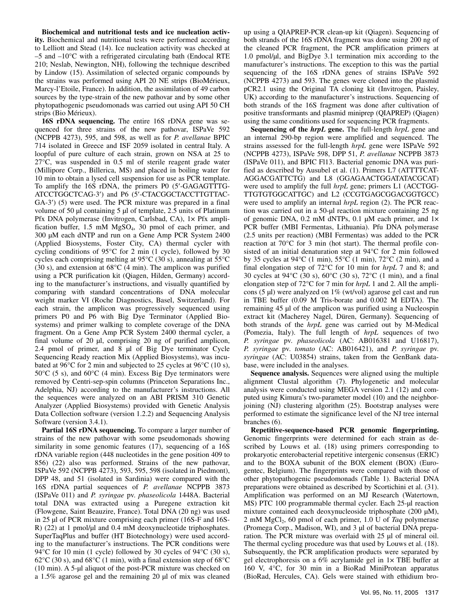**Biochemical and nutritional tests and ice nucleation activity.** Biochemical and nutritional tests were performed according to Lelliott and Stead (14). Ice nucleation activity was checked at –5 and –10°C with a refrigerated circulating bath (Endocal RTE 210; Neslab, Newington, NH), following the technique described by Lindow (15). Assimilation of selected organic compounds by the strains was performed using API 20 NE strips (BioMérieux, Marcy-l'Etoile, France). In addition, the assimilation of 49 carbon sources by the type-strain of the new pathovar and by some other phytopathogenic pseudomonads was carried out using API 50 CH strips (Bio Mérieux).

**16S rDNA sequencing.** The entire 16S rDNA gene was sequenced for three strains of the new pathovar, ISPaVe 592 (NCPPB 4273), 595, and 598, as well as for *P. avellanae* BPIC 714 isolated in Greece and ISF 2059 isolated in central Italy. A loopful of pure culture of each strain, grown on NSA at 25 to 27°C, was suspended in 0.5 ml of sterile reagent grade water (Millipore Corp., Billerica, MS) and placed in boiling water for 10 min to obtain a lysed cell suspension for use as PCR template. To amplify the 16S rDNA, the primers P0 (5′-GAGAGTTTG-ATCCTGGCTCAG-3′) and P6 (5′-CTACGGCTACCTTGTTAC-GA-3′) (5) were used. The PCR mixture was prepared in a final volume of 50 µl containing 5 µl of template, 2.5 units of Platinum Pfx DNA polymerase (Invitrogen, Carlsbad, CA), 1× Pfx amplification buffer,  $1.5 \text{ mM } MgSO_4$ ,  $30 \text{ pmol }$  of each primer, and 300 µM each dNTP and run on a Gene Amp PCR System 2400 (Applied Biosystems, Foster City, CA) thermal cycler with cycling conditions of 95°C for 2 min (1 cycle), followed by 30 cycles each comprising melting at 95°C (30 s), annealing at 55°C (30 s), and extension at 68°C (4 min). The amplicon was purified using a PCR purification kit (Qiagen, Hilden, Germany) according to the manufacturer's instructions, and visually quantified by comparing with standard concentrations of DNA molecular weight marker VI (Roche Diagnostics, Basel, Switzerland). For each strain, the amplicon was progressively sequenced using primers P0 and P6 with Big Dye Terminator (Applied Biosystems) and primer walking to complete coverage of the DNA fragment. On a Gene Amp PCR System 2400 thermal cycler, a final volume of 20 µl, comprising 20 ng of purified amplicon, 2.4 pmol of primer, and 8 µl of Big Dye terminator Cycle Sequencing Ready reaction Mix (Applied Biosystems), was incubated at 96°C for 2 min and subjected to 25 cycles at 96°C (10 s),  $50^{\circ}$ C (5 s), and  $60^{\circ}$ C (4 min). Excess Big Dye terminators were removed by Centri-sep-spin columns (Princeton Separations Inc., Adelphia, NJ) according to the manufacturer's instructions. All the sequences were analyzed on an ABI PRISM 310 Genetic Analyzer (Applied Biosystems) provided with Genetic Analysis Data Collection software (version 1.2.2) and Sequencing Analysis Software (version 3.4.1).

**Partial 16S rDNA sequencing.** To compare a larger number of strains of the new pathovar with some pseudomonads showing similarity in some genomic features (17), sequencing of a 16S rDNA variable region (448 nucleotides in the gene position 409 to 856) (22) also was performed. Strains of the new pathovar, ISPaVe 592 (NCPPB 4273), 593, 595, 598 (isolated in Piedmont), DPP 48, and 51 (isolated in Sardinia) were compared with the 16S rDNA partial sequences of *P. avellanae* NCPPB 3873 (ISPaVe 011) and *P. syringae* pv. *phaseolicola* 1448A. Bacterial total DNA was extracted using a Puregene extraction kit (Flowgene, Saint Beauzire, France). Total DNA (20 ng) was used in 25 µl of PCR mixture comprising each primer (16S-F and 16S-R) (22) at 1 pmol/µl and 0.4 mM deoxynucleotide triphosphates. SuperTaqPlus and buffer (HT Biotechnology) were used according to the manufacturer's instructions. The PCR conditions were 94 $\degree$ C for 10 min (1 cycle) followed by 30 cycles of 94 $\degree$ C (30 s),  $62^{\circ}$ C (30 s), and  $68^{\circ}$ C (1 min), with a final extension step of  $68^{\circ}$ C (10 min). A 5-µl aliquot of the post-PCR mixture was checked on a 1.5% agarose gel and the remaining 20 µl of mix was cleaned

up using a QIAPREP-PCR clean-up kit (Qiagen). Sequencing of both strands of the 16S rDNA fragment was done using 200 ng of the cleaned PCR fragment, the PCR amplification primers at 1.0 pmol/µl, and BigDye 3.1 termination mix according to the manufacturer's instructions. The exception to this was the partial sequencing of the 16S rDNA genes of strains ISPaVe 592 (NCPPB 4273) and 593. The genes were cloned into the plasmid pCR2.1 using the Original TA cloning kit (Invitrogen, Paisley, UK) according to the manufacturer's instructions. Sequencing of both strands of the 16S fragment was done after cultivation of positive transformants and plasmid miniprep (QIAPREP) (Qiagen) using the same conditions used for sequencing PCR fragments.

**Sequencing of the** *hrpL* **gene.** The full-length *hrpL* gene and an internal 290-bp region were amplified and sequenced. The strains assessed for the full-length *hrpL* gene were ISPaVe 592 (NCPPB 4273), ISPaVe 598, DPP 51, *P. avellanae* NCPPB 3873 (ISPaVe 011), and BPIC Fl13. Bacterial genomic DNA was purified as described by Ausubel et al. (1). Primers L7 (ATTTTCAT-AGGACGATTCTG) and L8 (GGAGAACTGGATATACGCAT) were used to amplify the full *hrpL* gene; primers L1 (ACCTGG-TTGTGTGGCATTGC) and L2 (CCGTGAGCGGACGGTGCC) were used to amplify an internal *hrpL* region (2). The PCR reaction was carried out in a 50-µl reaction mixture containing 25 ng of genomic DNA,  $0.2$  mM dNTPs,  $0.1$  µM each primer, and  $1 \times$ PCR buffer (MBI Fermentas, Lithuania). Pfu DNA polymerase (2.5 units per reaction) (MBI Fermentas) was added to the PCR reaction at 70°C for 3 min (hot start). The thermal profile consisted of an initial denaturation step at 94°C for 2 min followed by 35 cycles at 94°C (1 min), 55°C (1 min), 72°C (2 min), and a final elongation step of 72°C for 10 min for *hrpL* 7 and 8; and 30 cycles at 94°C (30 s), 60°C (30 s), 72°C (1 min), and a final elongation step of 72°C for 7 min for *hrpL* 1 and 2. All the amplicons (5 µl) were analyzed on 1% (wt/vol) agarose gel cast and run in TBE buffer (0.09 M Tris-borate and 0.002 M EDTA). The remaining 45 µl of the amplicon was purified using a Nucleospin extract kit (Macherey Nagel, Düren, Germany). Sequencing of both strands of the *hrpL* gene was carried out by M-Medical (Pomezia, Italy). The full length of *hrpL* sequences of two *P. syringae* pv. *phaseolicola* (AC: AB016381 and U16817), *P. syringae* pv. *tomato* (AC: AB016421), and *P. syringae* pv. *syringae* (AC: U03854) strains, taken from the GenBank database, were included in the analyses.

**Sequence analysis.** Sequences were aligned using the multiple alignment Clustal algorithm (7). Phylogenetic and molecular analysis were conducted using MEGA version 2.1 (12) and computed using Kimura's two-parameter model (10) and the neighborjoining (NJ) clustering algorithm (25). Bootstrap analyses were performed to estimate the significance level of the NJ tree internal branches (6).

**Repetitive-sequence-based PCR genomic fingerprinting.**  Genomic fingerprints were determined for each strain as described by Louws et al. (18) using primers corresponding to prokaryotic enterobacterial repetitive intergenic consensus (ERIC) and to the BOXA subunit of the BOX element (BOX) (Eurogentec, Belgium). The fingerprints were compared with those of other phytopathogenic pseudomonads (Table 1). Bacterial DNA preparations were obtained as described by Scortichini et al. (31). Amplification was performed on an MJ Research (Watertown, MS) PTC 100 programmable thermal cycler. Each 25-µl reaction mixture contained each deoxynucleoside triphosphate (200 µM), 2 mM MgCl2, 60 pmol of each primer, 1.0 U of *Taq* polymerase (Promega Corp., Madison, WI), and 3 µl of bacterial DNA preparation. The PCR mixture was overlaid with 25 µl of mineral oil. The thermal cycling procedure was that used by Louws et al. (18). Subsequently, the PCR amplification products were separated by gel electrophoresis on a 6% acrylamide gel in 1× TBE buffer at 160 V, 4°C, for 30 min in a BioRad MiniProtean apparatus (BioRad, Hercules, CA). Gels were stained with ethidium bro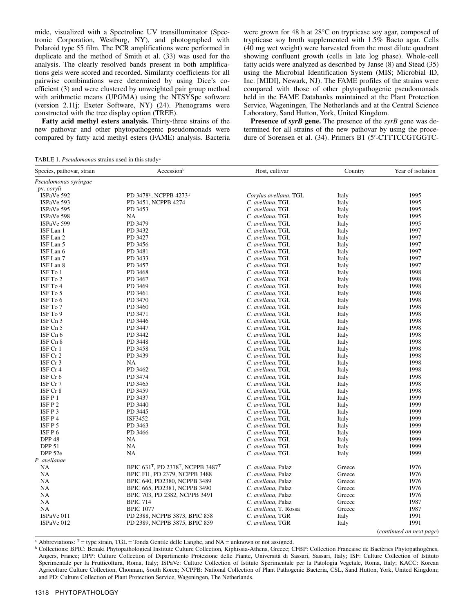mide, visualized with a Spectroline UV transilluminator (Spectronic Corporation, Westburg, NY), and photographed with Polaroid type 55 film. The PCR amplifications were performed in duplicate and the method of Smith et al. (33) was used for the analysis. The clearly resolved bands present in both amplifications gels were scored and recorded. Similarity coefficients for all pairwise combinations were determined by using Dice's coefficient (3) and were clustered by unweighted pair group method with arithmetic means (UPGMA) using the NTSYSpc software (version 2.11j; Exeter Software, NY) (24). Phenograms were constructed with the tree display option (TREE).

**Fatty acid methyl esters analysis.** Thirty-three strains of the new pathovar and other phytopathogenic pseudomonads were compared by fatty acid methyl esters (FAME) analysis. Bacteria were grown for 48 h at 28°C on trypticase soy agar, composed of trypticase soy broth supplemented with 1.5% Bacto agar. Cells (40 mg wet weight) were harvested from the most dilute quadrant showing confluent growth (cells in late log phase). Whole-cell fatty acids were analyzed as described by Janse (8) and Stead (35) using the Microbial Identification System (MIS; Microbial ID, Inc. [MIDI], Newark, NJ). The FAME profiles of the strains were compared with those of other phytopathogenic pseudomonads held in the FAME Databanks maintained at the Plant Protection Service, Wageningen, The Netherlands and at the Central Science Laboratory, Sand Hutton, York, United Kingdom.

**Presence of** *syrB* **gene.** The presence of the *syrB* gene was determined for all strains of the new pathovar by using the procedure of Sorensen et al. (34). Primers B1 (5′-CTTTCCGTGGTC-

TABLE 1. *Pseudomonas* strains used in this studya

| Species, pathovar, strain | Accessionb                       | Host, cultivar        | Country | Year of isolation        |  |
|---------------------------|----------------------------------|-----------------------|---------|--------------------------|--|
| Pseudomonas syringae      |                                  |                       |         |                          |  |
| pv. coryli                |                                  |                       |         |                          |  |
| ISPaVe 592                | PD 3478T, NCPPB 4273T            | Corylus avellana, TGL | Italy   | 1995                     |  |
| ISPaVe 593                | PD 3451, NCPPB 4274              | C. avellana, TGL      | Italy   | 1995                     |  |
| ISPaVe 595                | PD 3453                          | C. avellana, TGL      | Italy   | 1995                     |  |
| ISPaVe 598                | NA                               | C. avellana, TGL      | Italy   | 1995                     |  |
| ISPaVe 599                | PD 3479                          | C. avellana, TGL      | Italy   | 1995                     |  |
| ISF Lan 1                 | PD 3432                          | C. avellana, TGL      | Italy   | 1997                     |  |
| ISF Lan 2                 | PD 3427                          | C. avellana, TGL      | Italy   | 1997                     |  |
| ISF Lan 5                 | PD 3456                          | C. avellana, TGL      | Italy   | 1997                     |  |
| ISF Lan 6                 | PD 3481                          | C. avellana, TGL      | Italy   | 1997                     |  |
| ISF Lan 7                 | PD 3433                          | C. avellana, TGL      | Italy   | 1997                     |  |
| ISF Lan 8                 | PD 3457                          | C. avellana, TGL      | Italy   | 1997                     |  |
| ISF To 1                  | PD 3468                          | C. avellana, TGL      | Italy   | 1998                     |  |
| ISF To 2                  | PD 3467                          | C. avellana, TGL      | Italy   | 1998                     |  |
| ISF To 4                  | PD 3469                          | C. avellana, TGL      | Italy   | 1998                     |  |
| ISF To 5                  | PD 3461                          | C. avellana, TGL      | Italy   | 1998                     |  |
| ISF To 6                  | PD 3470                          | C. avellana, TGL      | Italy   | 1998                     |  |
| ISF To 7                  | PD 3460                          | C. avellana, TGL      | Italy   | 1998                     |  |
|                           |                                  |                       |         |                          |  |
| ISF To 9<br>ISF Cn 3      | PD 3471<br>PD 3446               | C. avellana, TGL      | Italy   | 1998<br>1998             |  |
|                           |                                  | C. avellana, TGL      | Italy   |                          |  |
| ISF Cn 5                  | PD 3447                          | C. avellana, TGL      | Italy   | 1998                     |  |
| ISF Cn 6                  | PD 3442                          | C. avellana, TGL      | Italy   | 1998                     |  |
| ISF Cn 8                  | PD 3448                          | C. avellana, TGL      | Italy   | 1998                     |  |
| ISF Cr 1                  | PD 3458                          | C. avellana, TGL      | Italy   | 1998                     |  |
| ISF Cr 2                  | PD 3439                          | C. avellana, TGL      | Italy   | 1998                     |  |
| ISF Cr 3                  | NA                               | C. avellana, TGL      | Italy   | 1998                     |  |
| ISF Cr 4                  | PD 3462                          | C. avellana, TGL      | Italy   | 1998                     |  |
| ISF Cr 6                  | PD 3474                          | C. avellana, TGL      | Italy   | 1998                     |  |
| ISF Cr 7                  | PD 3465                          | C. avellana, TGL      | Italy   | 1998                     |  |
| ISF Cr 8                  | PD 3459                          | C. avellana, TGL      | Italy   | 1998                     |  |
| ISFP1                     | PD 3437                          | C. avellana, TGL      | Italy   | 1999                     |  |
| ISF P 2                   | PD 3440                          | C. avellana, TGL      | Italy   | 1999                     |  |
| ISFP3                     | PD 3445                          | C. avellana, TGL      | Italy   | 1999                     |  |
| ISFP4                     | ISF3452                          | C. avellana, TGL      | Italy   | 1999                     |  |
| ISF P 5                   | PD 3463                          | C. avellana, TGL      | Italy   | 1999                     |  |
| ISFP6                     | PD 3466                          | C. avellana, TGL      | Italy   | 1999                     |  |
| DPP <sub>48</sub>         | NA                               | C. avellana, TGL      | Italy   | 1999                     |  |
| <b>DPP 51</b>             | NA                               | C. avellana, TGL      | Italy   | 1999                     |  |
| DPP 52e                   | <b>NA</b>                        | C. avellana, TGL      | Italy   | 1999                     |  |
| P. avellanae              |                                  |                       |         |                          |  |
| NA                        | BPIC 631T, PD 2378T, NCPPB 3487T | C. avellana, Palaz    | Greece  | 1976                     |  |
| <b>NA</b>                 | BPIC F11, PD 2379, NCPPB 3488    | C.avellana, Palaz     | Greece  | 1976                     |  |
| NA                        | BPIC 640, PD2380, NCPPB 3489     | C.avellana, Palaz     | Greece  | 1976                     |  |
| NA                        | BPIC 665, PD2381, NCPPB 3490     | C. avellana, Palaz    | Greece  | 1976                     |  |
| NA                        | BPIC 703, PD 2382, NCPPB 3491    | C. avellana, Palaz    | Greece  | 1976                     |  |
| NA                        | <b>BPIC 714</b>                  | C. avellana, Palaz    | Greece  | 1987                     |  |
| <b>NA</b>                 | <b>BPIC 1077</b>                 | C. avellana, T. Rossa | Greece  | 1987                     |  |
| ISPaVe 011                | PD 2388, NCPPB 3873, BPIC 858    | C. avellana, TGR      | Italy   | 1991                     |  |
| ISPaVe 012                | PD 2389, NCPPB 3875, BPIC 859    | C. avellana, TGR      | Italy   | 1991                     |  |
|                           |                                  |                       |         | (continued on next page) |  |

a Abbreviations: <sup>T</sup> = type strain, TGL = Tonda Gentile delle Langhe, and NA = unknown or not assigned.<br><sup>b</sup> Collections: BPIC: Benaki Phytopathological Institute Culture Collection, Kiphissia-Athens, Greece; CFBP: Collecti Angers, France; DPP: Culture Collection of Dipartimento Protezione delle Piante, Università di Sassari, Sassari, Italy; ISF: Culture Collection of Istituto Sperimentale per la Frutticoltura, Roma, Italy; ISPaVe: Culture Collection of Istituto Sperimentale per la Patologia Vegetale, Roma, Italy; KACC: Korean Agricolture Culture Collection, Chonnam, South Korea; NCPPB: National Collection of Plant Pathogenic Bacteria, CSL, Sand Hutton, York, United Kingdom; and PD: Culture Collection of Plant Protection Service, Wageningen, The Netherlands.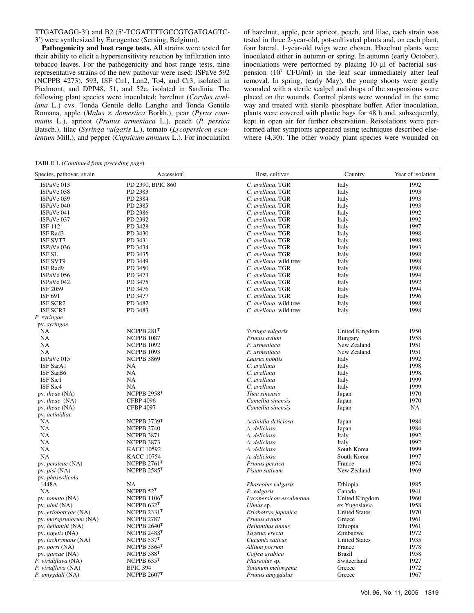## TTGATGAGG-3′) and B2 (5′-TCGATTTTGCCGTGATGAGTC-3′) were synthesized by Eurogentec (Seraing, Belgium).

**Pathogenicity and host range tests.** All strains were tested for their ability to elicit a hypersensitivity reaction by infiltration into tobacco leaves. For the pathogenicity and host range tests, nine representative strains of the new pathovar were used: ISPaVe 592 (NCPPB 4273), 593, ISF Cn1, Lan2, To4, and Cr3, isolated in Piedmont, and DPP48, 51, and 52e, isolated in Sardinia. The following plant species were inoculated: hazelnut (*Corylus avellana* L.) cvs. Tonda Gentile delle Langhe and Tonda Gentile Romana, apple (*Malus* × *domestica* Borkh.), pear (*Pyrus communis* L.), apricot (*Prunus armeniaca* L.), peach (*P. persica* Batsch.), lilac (*Syringa vulgaris* L.), tomato (*Lycopersicon esculentum* Mill.), and pepper (*Capsicum annuum* L.). For inoculation of hazelnut, apple, pear apricot, peach, and lilac, each strain was tested in three 2-year-old, pot-cultivated plants and, on each plant, four lateral, 1-year-old twigs were chosen. Hazelnut plants were inoculated either in autumn or spring. In autumn (early October), inoculations were performed by placing 10 µl of bacterial suspension  $(10^7 \text{ CFU/ml})$  in the leaf scar immediately after leaf removal. In spring, (early May), the young shoots were gently wounded with a sterile scalpel and drops of the suspensions were placed on the wounds. Control plants were wounded in the same way and treated with sterile phosphate buffer. After inoculation, plants were covered with plastic bags for 48 h and, subsequently, kept in open air for further observation. Reisolations were performed after symptoms appeared using techniques described elsewhere  $(4,30)$ . The other woody plant species were wounded on

TABLE 1. (*Continued from preceding page*)

| Species, pathovar, strain    | Accessionb                | Host, cultivar          | Country              | Year of isolation |
|------------------------------|---------------------------|-------------------------|----------------------|-------------------|
| ISPaVe 013                   | PD 2390, BPIC 860         | C. avellana, TGR        | Italy                | 1992              |
| ISPaVe 038                   | PD 2383                   | C. avellana, TGR        | Italy                | 1993              |
| ISPaVe 039                   | PD 2384                   | C. avellana, TGR        | Italy                | 1993              |
| ISPaVe 040                   | PD 2385                   | C. avellana, TGR        | Italy                | 1993              |
| ISPaVe 041                   | PD 2386                   | C. avellana, TGR        | Italy                | 1992              |
| ISPaVe 037                   | PD 2392                   | C. avellana, TGR        | Italy                | 1992              |
| <b>ISF 112</b>               | PD 3428                   | C. avellana, TGR        | Italy                | 1997              |
| ISF Rad3                     | PD 3430                   | C. avellana, TGR        | Italy                | 1998              |
| <b>ISF SVT7</b>              | PD 3431                   | C. avellana, TGR        | Italy                | 1998              |
| ISPaVe 036                   | PD 3434                   | C. avellana, TGR        | Italy                | 1993              |
| <b>ISF SL</b>                | PD 3435                   | C. avellana, TGR        | Italy                | 1998              |
| <b>ISF SVT9</b>              | PD 3449                   | C. avellana, wild tree  | Italy                | 1998              |
| ISF Rad9                     | PD 3450                   | C. avellana, TGR        | Italy                | 1998              |
| ISPaVe 056                   | PD 3473                   | C. avellana, TGR        | Italy                | 1994              |
| ISPaVe 042                   | PD 3475                   | C. avellana, TGR        |                      | 1992              |
| ISF 2059                     | PD 3476                   | C. avellana, TGR        | Italy                | 1994              |
|                              |                           |                         | Italy                |                   |
| ISF 691                      | PD 3477                   | C. avellana, TGR        | Italy                | 1996              |
| <b>ISF SCR2</b>              | PD 3482                   | C. avellana, wild tree  | Italy                | 1998              |
| ISF SCR3                     | PD 3483                   | C. avellana, wild tree  | Italy                | 1998              |
| P. syringae                  |                           |                         |                      |                   |
| pv. syringae                 |                           |                         |                      |                   |
| NA                           | NCPPB $281T$              | Syringa vulgaris        | United Kingdom       | 1950              |
| <b>NA</b>                    | <b>NCPPB 1087</b>         | Prunus avium            | Hungary              | 1958              |
| NA                           | <b>NCPPB 1092</b>         | P. armeniaca            | New Zealand          | 1951              |
| NA                           | <b>NCPPB 1093</b>         | P. armeniaca            | New Zealand          | 1951              |
| ISPaVe 015                   | NCPPB 3869                | Laurus nobilis          | Italy                | 1992              |
| ISF SarA1                    | NA                        | C. avellana             | Italy                | 1998              |
| ISF SarB6                    | NA                        | C. avellana             | Italy                | 1998              |
| ISF Sic1                     | NA                        | C. avellana             | Italy                | 1999              |
| ISF Sic4                     | NA                        | C. avellana             | Italy                | 1999              |
| pv. theae (NA)               | NCPPB $2958$ <sup>T</sup> | Thea sinensis           | Japan                | 1970              |
| pv. theae (NA)               | <b>CFBP 4096</b>          | Camellia sinensis       | Japan                | 1970              |
| pv. theae (NA)               | <b>CFBP 4097</b>          | Camellia sinensis       | Japan                | NA                |
| pv. actinidiae               |                           |                         |                      |                   |
| <b>NA</b>                    | NCPPB 3739T               | Actinidia deliciosa     | Japan                | 1984              |
| <b>NA</b>                    | <b>NCPPB 3740</b>         | A. deliciosa            | Japan                | 1984              |
| <b>NA</b>                    | <b>NCPPB 3871</b>         | A. deliciosa            | Italy                | 1992              |
| <b>NA</b>                    | <b>NCPPB 3873</b>         | A. deliciosa            | Italy                | 1992              |
| <b>NA</b>                    | <b>KACC 10592</b>         | A. deliciosa            | South Korea          | 1999              |
| <b>NA</b>                    | <b>KACC 10754</b>         | A. deliciosa            | South Korea          | 1997              |
| pv. persicae (NA)            | NCPPB $2761$ <sup>T</sup> | Prunus persica          | France               | 1974              |
| pv. $pisi$ (NA)              | NCPPB $2585$ <sup>T</sup> | Pisum sativum           | New Zealand          | 1969              |
| pv. phaseolicola             |                           |                         |                      |                   |
| 1448A                        | NA                        | Phaseolus vulgaris      | Ethiopia             | 1985              |
| <b>NA</b>                    | NCPPB $52^T$              | P. vulgaris             | Canada               | 1941              |
| pv. tomato (NA)              | NCPPB $1106T$             | Lycopersicon esculentum | United Kingdom       | 1960              |
| pv. <i>ulmi</i> (NA)         | NCPPB $632T$              | Ulmus sp.               | ex Yugoslavia        | 1958              |
| pv. eriobotryae (NA)         | NCPPB $2331$ <sup>T</sup> | Eriobotrya japonica     | <b>United States</b> | 1970              |
| pv. <i>morsprunorum</i> (NA) | <b>NCPPB 2787</b>         | Prunus avium            | Greece               | 1961              |
| pv. helianthi (NA)           | NCPPB $2640T$             | Helianthus annus        | Ethiopia             | 1961              |
|                              | NCPPB $2488$ <sup>T</sup> |                         |                      | 1972              |
| pv. tagetis (NA)             |                           | Tagetus erecta          | Zimbabwe             |                   |
| pv. lachrymans (NA)          | NCPPB $537T$              | Cucumis sativus         | <b>United States</b> | 1935              |
| pv. <i>porri</i> (NA)        | NCPPB $3364$ <sup>T</sup> | Allium porrum           | France               | 1978              |
| pv. garcae (NA)              | NCPPB $588$ <sup>T</sup>  | Coffea arabica          | <b>Brazil</b>        | 1958              |
| P. viridiflava (NA)          | NCPPB $635T$              | Phaseolus sp.           | Switzerland          | 1927              |
| P. viridflava (NA)           | <b>BPIC 394</b>           | Solanum melongena       | Greece               | 1972              |
| P. amygdali (NA)             | NCPPB $2607^{\mathrm{T}}$ | Prunus amygdalus        | Greece               | 1967              |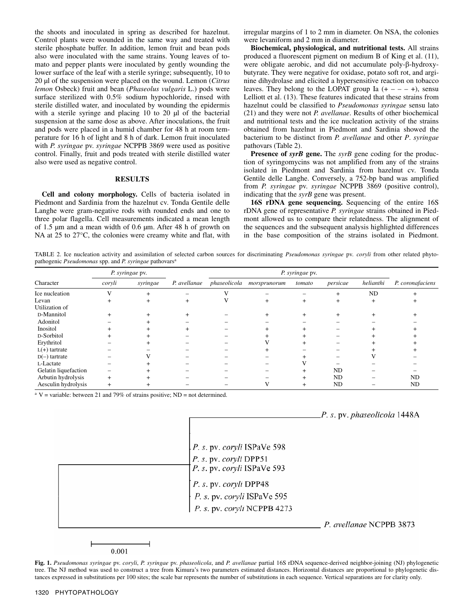the shoots and inoculated in spring as described for hazelnut. Control plants were wounded in the same way and treated with sterile phosphate buffer. In addition, lemon fruit and bean pods also were inoculated with the same strains. Young leaves of tomato and pepper plants were inoculated by gently wounding the lower surface of the leaf with a sterile syringe; subsequently, 10 to 20 µl of the suspension were placed on the wound. Lemon (*Citrus lemon* Osbeck) fruit and bean (*Phaseolus vulgaris* L.) pods were surface sterilized with 0.5% sodium hypochloride, rinsed with sterile distilled water, and inoculated by wounding the epidermis with a sterile syringe and placing 10 to 20 µl of the bacterial suspension at the same dose as above. After inoculations, the fruit and pods were placed in a humid chamber for 48 h at room temperature for 16 h of light and 8 h of dark. Lemon fruit inoculated with *P. syringae* pv. *syringae* NCPPB 3869 were used as positive control. Finally, fruit and pods treated with sterile distilled water also were used as negative control.

# **RESULTS**

**Cell and colony morphology.** Cells of bacteria isolated in Piedmont and Sardinia from the hazelnut cv. Tonda Gentile delle Langhe were gram-negative rods with rounded ends and one to three polar flagella. Cell measurements indicated a mean length of 1.5 µm and a mean width of 0.6 µm. After 48 h of growth on NA at 25 to 27<sup>o</sup>C, the colonies were creamy white and flat, with irregular margins of 1 to 2 mm in diameter. On NSA, the colonies were levaniform and 2 mm in diameter.

**Biochemical, physiological, and nutritional tests.** All strains produced a fluorescent pigment on medium B of King et al. (11), were obligate aerobic, and did not accumulate poly-β-hydroxybutyrate. They were negative for oxidase, potato soft rot, and arginine dihydrolase and elicited a hypersensitive reaction on tobacco leaves. They belong to the LOPAT group Ia  $(+ - - +)$ , sensu Lelliott et al. (13). These features indicated that these strains from hazelnut could be classified to *Pseudomonas syringae* sensu lato (21) and they were not *P. avellanae*. Results of other biochemical and nutritional tests and the ice nucleation activity of the strains obtained from hazelnut in Piedmont and Sardinia showed the bacterium to be distinct from *P. avellanae* and other *P*. *syringae* pathovars (Table 2).

**Presence of** *syrB* **gene.** The *syrB* gene coding for the production of syringomycins was not amplified from any of the strains isolated in Piedmont and Sardinia from hazelnut cv. Tonda Gentile delle Langhe. Conversely, a 752-bp band was amplified from *P. syringae* pv. *syringae* NCPPB 3869 (positive control), indicating that the *syrB* gene was present.

**16S rDNA gene sequencing.** Sequencing of the entire 16S rDNA gene of representative *P. syringae* strains obtained in Piedmont allowed us to compare their relatedness. The alignment of the sequences and the subsequent analysis highlighted differences in the base composition of the strains isolated in Piedmont.

TABLE 2. Ice nucleation activity and assimilation of selected carbon sources for discriminating *Pseudomonas syringae* pv*. coryli* from other related phytopathogenic *Pseudomonas* spp. and *P. syringae* pathovarsa

| P. syringae pv.      |        |           | P. syringae pv. |              |              |        |           |           |                  |
|----------------------|--------|-----------|-----------------|--------------|--------------|--------|-----------|-----------|------------------|
| Character            | coryli | syringae  | P. avellanae    | phaseolicola | morsprunorum | tomato | persicae  | helianthi | P. coronafaciens |
| Ice nucleation       |        | $\ddot{}$ |                 |              |              | -      | $^{+}$    | ND        |                  |
| Levan                |        |           | $^{+}$          |              | +            |        | $\ddot{}$ | $\ddot{}$ |                  |
| Utilization of       |        |           |                 |              |              |        |           |           |                  |
| D-Mannitol           |        |           | $^{+}$          |              |              | +      | +         |           |                  |
| Adonitol             |        |           |                 |              |              |        |           |           |                  |
| Inositol             |        |           |                 |              |              |        |           |           |                  |
| D-Sorbitol           |        |           |                 |              |              |        |           |           |                  |
| Erythritol           |        |           |                 |              |              |        |           |           |                  |
| $L(+)$ tartrate      |        |           |                 |              |              |        |           |           |                  |
| $D(-)$ tartrate      |        |           |                 |              |              |        |           |           |                  |
| L-Lactate            |        |           |                 |              |              |        |           |           |                  |
| Gelatin liquefaction |        |           |                 |              |              |        | ND        |           |                  |
| Arbutin hydrolysis   | $\div$ |           |                 |              |              |        | <b>ND</b> |           | <b>ND</b>        |
| Aesculin hydrolysis  |        |           |                 |              |              |        | <b>ND</b> |           | ND               |

<sup>a</sup> V = variable: between 21 and 79% of strains positive; ND = not determined.



0.001

**Fig. 1.** *Pseudomonas syringae* pv. *coryli*, *P. syringae* pv. *phaseolicola*, and *P. avellanae* partial 16S rDNA sequence-derived neighbor-joining (NJ) phylogenetic tree. The NJ method was used to construct a tree from Kimura's two parameters estimated distances. Horizontal distances are proportional to phylogenetic distances expressed in substitutions per 100 sites; the scale bar represents the number of substitutions in each sequence. Vertical separations are for clarity only.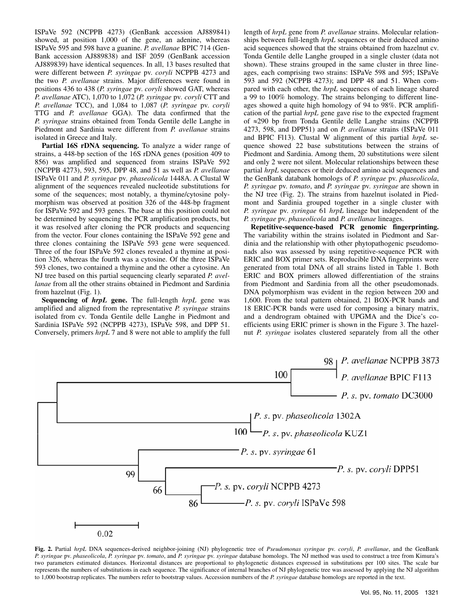ISPaVe 592 (NCPPB 4273) (GenBank accession AJ889841) showed, at position 1,000 of the gene, an adenine, whereas ISPaVe 595 and 598 have a guanine. *P. avellanae* BPIC 714 (Gen-Bank accession AJ889838) and ISF 2059 (GenBank accession AJ889839) have identical sequences. In all, 13 bases resulted that were different between *P. syringae* pv. *coryli* NCPPB 4273 and the two *P. avellanae* strains. Major differences were found in positions 436 to 438 (*P. syringae* pv. *coryli* showed GAT, whereas *P. avellanae* ATC), 1,070 to 1,072 (*P. syringae* pv*. coryli* CTT and *P. avellanae* TCC), and 1,084 to 1,087 (*P. syringae* pv. *coryli* TTG and *P. avellanae* GGA). The data confirmed that the *P. syringae* strains obtained from Tonda Gentile delle Langhe in Piedmont and Sardinia were different from *P. avellanae* strains isolated in Greece and Italy.

Partial 16S rDNA sequencing. To analyze a wider range of strains, a 448-bp section of the 16S rDNA genes (position 409 to 856) was amplified and sequenced from strains ISPaVe 592 (NCPPB 4273), 593, 595, DPP 48, and 51 as well as *P. avellanae* ISPaVe 011 and *P. syringae* pv*. phaseolicola* 1448A. A Clustal W alignment of the sequences revealed nucleotide substitutions for some of the sequences; most notably, a thymine/cytosine polymorphism was observed at position 326 of the 448-bp fragment for ISPaVe 592 and 593 genes. The base at this position could not be determined by sequencing the PCR amplification products, but it was resolved after cloning the PCR products and sequencing from the vector. Four clones containing the ISPaVe 592 gene and three clones containing the ISPaVe 593 gene were sequenced. Three of the four ISPaVe 592 clones revealed a thymine at position 326, whereas the fourth was a cytosine. Of the three ISPaVe 593 clones, two contained a thymine and the other a cytosine. An NJ tree based on this partial sequencing clearly separated *P. avellanae* from all the other strains obtained in Piedmont and Sardinia from hazelnut (Fig. 1).

**Sequencing of** *hrpL* **gene.** The full-length *hrpL* gene was amplified and aligned from the representative *P. syringae* strains isolated from cv. Tonda Gentile delle Langhe in Piedmont and Sardinia ISPaVe 592 (NCPPB 4273), ISPaVe 598, and DPP 51. Conversely, primers *hrpL* 7 and 8 were not able to amplify the full length of *hrpL* gene from *P. avellanae* strains. Molecular relationships between full-length *hrpL* sequences or their deduced amino acid sequences showed that the strains obtained from hazelnut cv. Tonda Gentile delle Langhe grouped in a single cluster (data not shown). These strains grouped in the same cluster in three lineages, each comprising two strains: ISPaVe 598 and 595; ISPaVe 593 and 592 (NCPPB 4273); and DPP 48 and 51. When compared with each other, the *hrpL* sequences of each lineage shared a 99 to 100% homology. The strains belonging to different lineages showed a quite high homology of 94 to 98%. PCR amplification of the partial *hrpL* gene gave rise to the expected fragment of ≈290 bp from Tonda Gentile delle Langhe strains (NCPPB 4273, 598, and DPP51) and on *P. avellanae* strains (ISPaVe 011 and BPIC Fl13). Clustal W alignment of this partial *hrpL* sequence showed 22 base substitutions between the strains of Piedmont and Sardinia. Among them, 20 substitutions were silent and only 2 were not silent. Molecular relationships between these partial *hrpL* sequences or their deduced amino acid sequences and the GenBank databank homologs of *P. syringae* pv. *phaseolicola*, *P. syringae* pv. *tomato*, and *P. syringae* pv. *syringae* are shown in the NJ tree (Fig. 2). The strains from hazelnut isolated in Piedmont and Sardinia grouped together in a single cluster with *P. syringae* pv. *syringae* 61 *hrpL* lineage but independent of the *P. syringae* pv. *phaseolicola* and *P. avellanae* lineages.

**Repetitive-sequence-based PCR genomic fingerprinting.**  The variability within the strains isolated in Piedmont and Sardinia and the relationship with other phytopathogenic pseudomonads also was assessed by using repetitive-sequence PCR with ERIC and BOX primer sets. Reproducible DNA fingerprints were generated from total DNA of all strains listed in Table 1. Both ERIC and BOX primers allowed differentiation of the strains from Piedmont and Sardinia from all the other pseudomonads. DNA polymorphism was evident in the region between 200 and 1,600. From the total pattern obtained, 21 BOX-PCR bands and 18 ERIC-PCR bands were used for composing a binary matrix, and a dendrogram obtained with UPGMA and the Dice's coefficients using ERIC primer is shown in the Figure 3. The hazelnut *P. syringae* isolates clustered separately from all the other



**Fig. 2.** Partial *hrpL* DNA sequences-derived neighbor-joining (NJ) phylogenetic tree of *Pseudomonas syringae* pv. *coryli*, *P. avellanae*, and the GenBank *P. syringae* pv. *phaseolicola*, *P. syringae* pv. *tomato*, and *P. syringae* pv. *syringae* database homologs. The NJ method was used to construct a tree from Kimura's two parameters estimated distances. Horizontal distances are proportional to phylogenetic distances expressed in substitutions per 100 sites. The scale bar represents the numbers of substitutions in each sequence. The significance of internal branches of NJ phylogenetic tree was assessed by applying the NJ algorithm to 1,000 bootstrap replicates. The numbers refer to bootstrap values. Accession numbers of the *P. syringae* database homologs are reported in the text.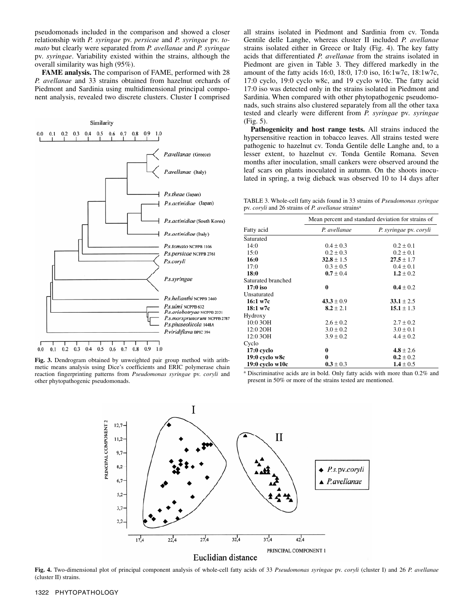pseudomonads included in the comparison and showed a closer relationship with *P. syringae* pv. *persicae* and *P. syringae* pv. *tomato* but clearly were separated from *P. avellanae* and *P. syringae* pv. *syringae*. Variability existed within the strains, although the overall similarity was high (95%).

**FAME analysis.** The comparison of FAME, performed with 28 *P. avellanae* and 33 strains obtained from hazelnut orchards of Piedmont and Sardinia using multidimensional principal component analysis, revealed two discrete clusters. Cluster I comprised



**Fig. 3.** Dendrogram obtained by unweighted pair group method with arithmetic means analysis using Dice's coefficients and ERIC polymerase chain reaction fingerprinting patterns from *Pseudomonas syringae* pv. *coryli* and other phytopathogenic pseudomonads.

all strains isolated in Piedmont and Sardinia from cv. Tonda Gentile delle Langhe, whereas cluster II included *P. avellanae* strains isolated either in Greece or Italy (Fig. 4). The key fatty acids that differentiated *P. avellanae* from the strains isolated in Piedmont are given in Table 3. They differed markedly in the amount of the fatty acids 16:0, 18:0, 17:0 iso, 16:1w7c, 18:1w7c, 17:0 cyclo, 19:0 cyclo w8c, and 19 cyclo w10c. The fatty acid 17:0 iso was detected only in the strains isolated in Piedmont and Sardinia. When compared with other phytopathogenic pseudomonads, such strains also clustered separately from all the other taxa tested and clearly were different from *P. syringae* pv*. syringae* (Fig. 5).

**Pathogenicity and host range tests.** All strains induced the hypersensitive reaction in tobacco leaves. All strains tested were pathogenic to hazelnut cv. Tonda Gentile delle Langhe and, to a lesser extent, to hazelnut cv. Tonda Gentile Romana. Seven months after inoculation, small cankers were observed around the leaf scars on plants inoculated in autumn. On the shoots inoculated in spring, a twig dieback was observed 10 to 14 days after

TABLE 3. Whole-cell fatty acids found in 33 strains of *Pseudomonas syringae* pv. *coryli* and 26 strains of *P. avellanae* strainsa

|                    | Mean percent and standard deviation for strains of |                        |  |  |  |
|--------------------|----------------------------------------------------|------------------------|--|--|--|
| Fatty acid         | P. avellanae                                       | P. syringae pv. coryli |  |  |  |
| Saturated          |                                                    |                        |  |  |  |
| 14:0               | $0.4 \pm 0.3$                                      | $0.2 \pm 0.1$          |  |  |  |
| 15:0               | $0.2 \pm 0.3$                                      | $0.2 \pm 0.1$          |  |  |  |
| 16:0               | $32.8 \pm 1.5$                                     | $27.5 \pm 1.7$         |  |  |  |
| 17:0               | $0.3 \pm 0.5$                                      | $0.4 \pm 0.1$          |  |  |  |
| 18:0               | $0.7 \pm 0.4$                                      | $1.2 \pm 0.2$          |  |  |  |
| Saturated branched |                                                    |                        |  |  |  |
| 17:0 iso           | 0                                                  | $0.4 \pm 0.2$          |  |  |  |
| Unsaturated        |                                                    |                        |  |  |  |
| 16:1 w7c           | $43.3 \pm 0.9$                                     | $33.1 \pm 2.5$         |  |  |  |
| 18:1 w7c           | $8.2 \pm 2.1$                                      | $15.1 \pm 1.3$         |  |  |  |
| Hydroxy            |                                                    |                        |  |  |  |
| 10:0 3OH           | $2.6 \pm 0.2$                                      | $2.7 \pm 0.2$          |  |  |  |
| 12:0 2OH           | $3.0 \pm 0.2$                                      | $3.0 \pm 0.1$          |  |  |  |
| 12:0 3OH           | $3.9 \pm 0.2$                                      | $4.4 \pm 0.2$          |  |  |  |
| Cyclo              |                                                    |                        |  |  |  |
| $17:0$ cyclo       | 0                                                  | 4.8 $\pm$ 2.6          |  |  |  |
| $19:0$ cyclo w8c   | 0                                                  | $0.2 \pm 0.2$          |  |  |  |
| 19:0 cyclo w10c    | $0.3 \pm 0.3$                                      | $1.4 \pm 0.5$          |  |  |  |

<sup>a</sup> Discriminative acids are in bold. Only fatty acids with more than 0.2% and present in 50% or more of the strains tested are mentioned.



**Fig. 4.** Two-dimensional plot of principal component analysis of whole-cell fatty acids of 33 *Pseudomonas syringae* pv. *coryli* (cluster I) and 26 *P. avellanae* (cluster II) strains.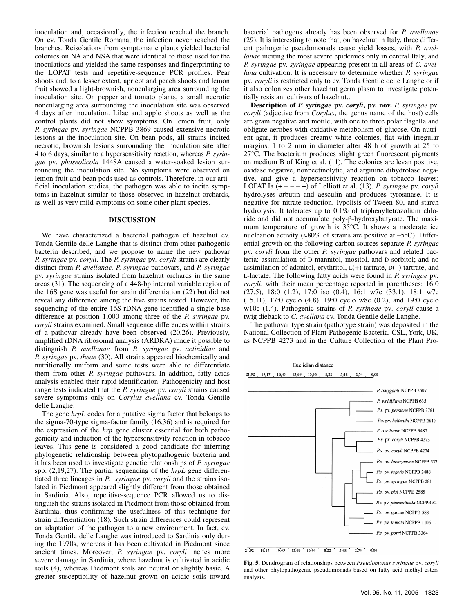inoculation and, occasionally, the infection reached the branch. On cv. Tonda Gentile Romana, the infection never reached the branches. Reisolations from symptomatic plants yielded bacterial colonies on NA and NSA that were identical to those used for the inoculations and yielded the same responses and fingerprinting to the LOPAT tests and repetitive-sequence PCR profiles. Pear shoots and, to a lesser extent, apricot and peach shoots and lemon fruit showed a light-brownish, nonenlarging area surrounding the inoculation site. On pepper and tomato plants, a small necrotic nonenlarging area surrounding the inoculation site was observed 4 days after inoculation. Lilac and apple shoots as well as the control plants did not show symptoms. On lemon fruit, only *P. syringae* pv. *syringae* NCPPB 3869 caused extensive necrotic lesions at the inoculation site. On bean pods, all strains incited necrotic, brownish lesions surrounding the inoculation site after 4 to 6 days, similar to a hypersensitivity reaction, whereas *P. syringae* pv*. phaseolicola* 1448A caused a water-soaked lesion surrounding the inoculation site. No symptoms were observed on lemon fruit and bean pods used as controls. Therefore, in our artificial inoculation studies, the pathogen was able to incite symptoms in hazelnut similar to those observed in hazelnut orchards, as well as very mild symptoms on some other plant species.

#### **DISCUSSION**

We have characterized a bacterial pathogen of hazelnut cv. Tonda Gentile delle Langhe that is distinct from other pathogenic bacteria described, and we propose to name the new pathovar *P. syringae* pv. *coryli*. The *P. syringae* pv*. coryli* strains are clearly distinct from *P. avellanae, P. syringae* pathovars, and *P. syringae* pv. *syringae* strains isolated from hazelnut orchards in the same areas (31). The sequencing of a 448-bp internal variable region of the 16S gene was useful for strain differentiation (22) but did not reveal any difference among the five strains tested. However, the sequencing of the entire 16S rDNA gene identified a single base difference at position 1,000 among three of the *P. syringae* pv. *coryli* strains examined. Small sequence differences within strains of a pathovar already have been observed (20,26). Previously, amplified rDNA ribosomal analysis (ARDRA) made it possible to distinguish *P. avellanae* from *P. syringae* pv. *actinidiae* and *P. syringae* pv. *theae* (30). All strains appeared biochemically and nutritionally uniform and some tests were able to differentiate them from other *P. syringae* pathovars. In addition, fatty acids analysis enabled their rapid identification. Pathogenicity and host range tests indicated that the *P. syringae* pv. *coryli* strains caused severe symptoms only on *Corylus avellana* cv. Tonda Gentile delle Langhe.

The gene *hrpL* codes for a putative sigma factor that belongs to the sigma-70-type sigma-factor family (16,36) and is required for the expression of the *hrp* gene cluster essential for both pathogenicity and induction of the hypersensitivity reaction in tobacco leaves. This gene is considered a good candidate for inferring phylogenetic relationship between phytopathogenic bacteria and it has been used to investigate genetic relationships of *P. syringae* spp. (2,19,27). The partial sequencing of the *hrpL* gene differentiated three lineages in *P. syringae* pv. *coryli* and the strains isolated in Piedmont appeared slightly different from those obtained in Sardinia*.* Also, repetitive-sequence PCR allowed us to distinguish the strains isolated in Piedmont from those obtained from Sardinia, thus confirming the usefulness of this technique for strain differentiation (18). Such strain differences could represent an adaptation of the pathogen to a new environment. In fact, cv. Tonda Gentile delle Langhe was introduced to Sardinia only during the 1970s, whereas it has been cultivated in Piedmont since ancient times. Moreover, *P. syringae* pv. *coryli* incites more severe damage in Sardinia, where hazelnut is cultivated in acidic soils (4), whereas Piedmont soils are neutral or slightly basic. A greater susceptibility of hazelnut grown on acidic soils toward

bacterial pathogens already has been observed for *P. avellanae* (29). It is interesting to note that, on hazelnut in Italy, three different pathogenic pseudomonads cause yield losses, with *P. avellanae* inciting the most severe epidemics only in central Italy, and *P. syringae* pv. *syringae* appearing present in all areas of *C. avellana* cultivation. It is necessary to determine whether *P. syringae* pv*. coryli* is restricted only to cv. Tonda Gentile delle Langhe or if it also colonizes other hazelnut germ plasm to investigate potentially resistant cultivars of hazelnut..

**Description of** *P. syringae* **pv***. coryli***, pv. nov.** *P. syringae* pv. *coryli* (adjective from *Corylus*, the genus name of the host) cells are gram negative and motile, with one to three polar flagella and obligate aerobes with oxidative metabolism of glucose. On nutrient agar, it produces creamy white colonies, flat with irregular margins, 1 to 2 mm in diameter after 48 h of growth at 25 to 27°C. The bacterium produces slight green fluorescent pigments on medium B of King et al. (11). The colonies are levan positive, oxidase negative, nonpectinolytic, and arginine dihydrolase negative, and give a hypersensitivity reaction on tobacco leaves: LOPAT Ia  $(+ - - +)$  of Lelliott et al. (13). *P. syringae* pv. *coryli* hydrolyses arbutin and aesculin and produces tyrosinase. It is negative for nitrate reduction, lypolisis of Tween 80, and starch hydrolysis. It tolerates up to 0.1% of triphenyltetrazolium chloride and did not accumulate poly-β-hydroxybutyrate. The maximum temperature of growth is 35°C. It shows a moderate ice nucleation activity ( $\approx 80\%$  of strains are positive at –5 $\degree$ C). Differential growth on the following carbon sources separate *P. syringae* pv. *coryli* from the other *P. syringae* pathovars and related bacteria: assimilation of D-mannitol, inositol, and D-sorbitol; and no assimilation of adonitol, erythritol,  $L(+)$  tartrate,  $D(-)$  tartrate, and L-lactate. The following fatty acids were found in *P. syringae* pv*. coryli*, with their mean percentage reported in parentheses: 16:0 (27.5), 18:0 (1.2), 17:0 iso (0.4), 16:1 w7c (33.1), 18:1 w7c (15.11), 17:0 cyclo (4.8), 19:0 cyclo w8c (0.2), and 19:0 cyclo w10c (1.4). Pathogenic strains of *P. syringae* pv*. coryli* cause a twig dieback to *C. avellana* cv. Tonda Gentile delle Langhe.

The pathovar type strain (pathotype strain) was deposited in the National Collection of Plant-Pathogenic Bacteria, CSL, York, UK, as NCPPB 4273 and in the Culture Collection of the Plant Pro-

Euclidian distance 21.92 19.17 16.43 13.69 10.96 8.22 5.48 2.74 0.00



21.92 19.17 16.43 13.69 10.96 8.22 5.48 2.74  $\overline{0.00}$ 

**Fig. 5.** Dendrogram of relationships between *Pseudomonas syringae* pv. *coryli* and other phytopathogenic pseudomonads based on fatty acid methyl esters analysis.